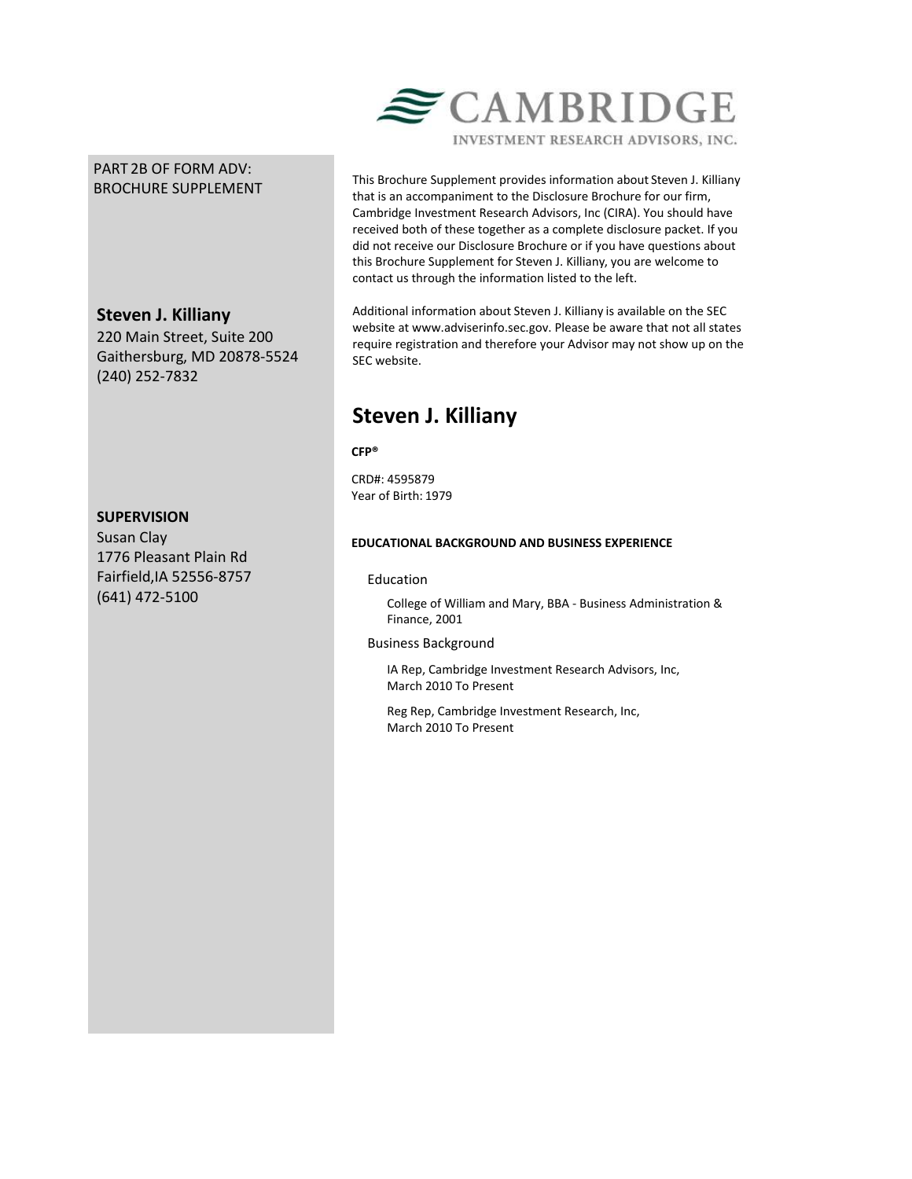# PART 2B OF FORM ADV: BROCHURE SUPPLEMENT

# **Steven J. Killiany**

220 Main Street, Suite 200 Gaithersburg, MD 20878-5524 (240) 252-7832

## **SUPERVISION**

Susan Clay 1776 Pleasant Plain Rd Fairfield,IA 52556-8757 (641) 472-5100



This Brochure Supplement provides information about Steven J. Killiany that is an accompaniment to the Disclosure Brochure for our firm, Cambridge Investment Research Advisors, Inc (CIRA). You should have received both of these together as a complete disclosure packet. If you did not receive our Disclosure Brochure or if you have questions about this Brochure Supplement for Steven J. Killiany, you are welcome to contact us through the information listed to the left.

Additional information about Steven J. Killiany is available on the SEC website at www.adviserinfo.sec.gov. Please be aware that not all states require registration and therefore your Advisor may not show up on the SEC website.

# **Steven J. Killiany**

**CFP®**

CRD#: 4595879 Year of Birth: 1979

## **EDUCATIONAL BACKGROUND AND BUSINESS EXPERIENCE**

## Education

College of William and Mary, BBA - Business Administration & Finance, 2001

## Business Background

IA Rep, Cambridge Investment Research Advisors, Inc, March 2010 To Present

Reg Rep, Cambridge Investment Research, Inc, March 2010 To Present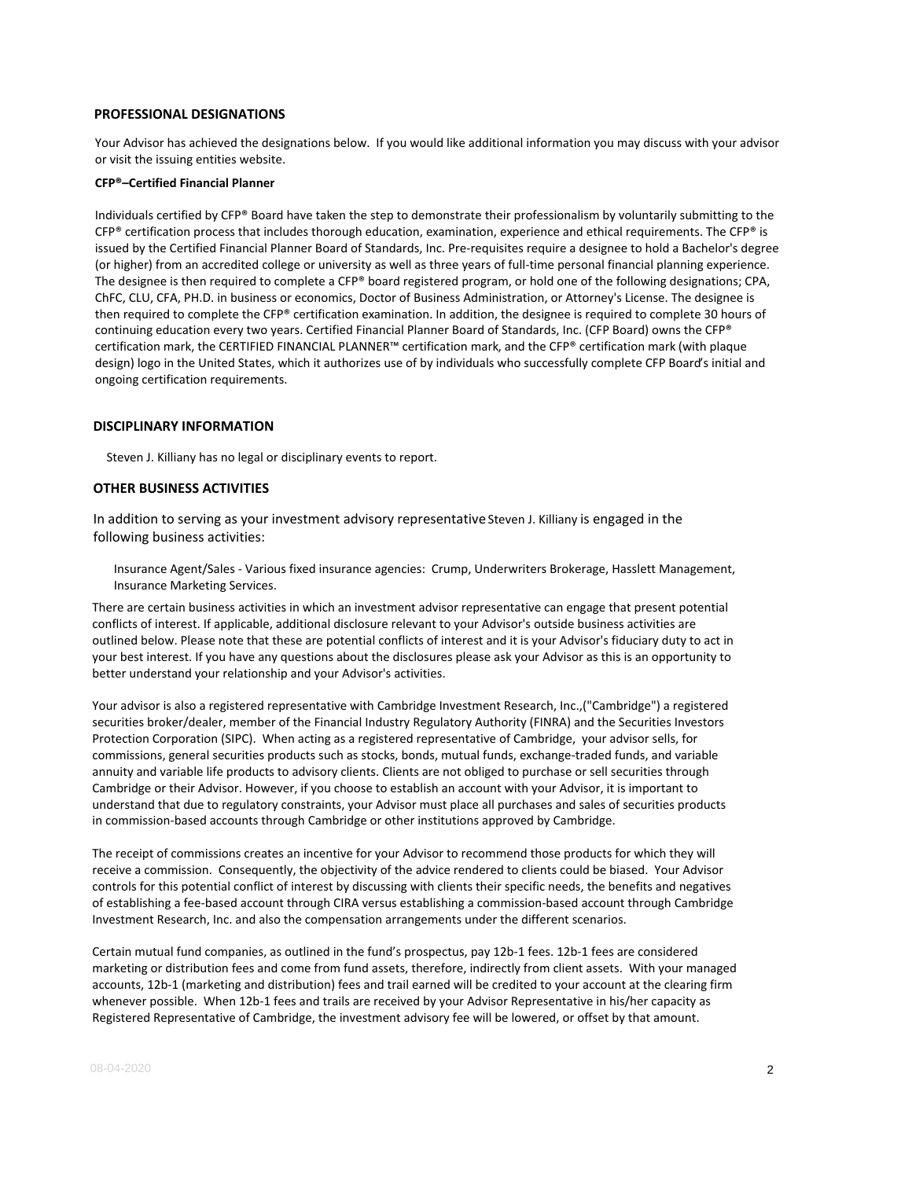#### **PROFESSIONAL DESIGNATIONS**

Your Advisor has achieved the designations below. If you would like additional information you may discuss with your advisor or visit the issuing entities website.

#### **CFP®–Certified Financial Planner**

Individuals certified by CFP® Board have taken the step to demonstrate their professionalism by voluntarily submitting to the  $CFP<sup>®</sup>$  certification process that includes thorough education, examination, experience and ethical requirements. The  $CFP<sup>®</sup>$  is issued by the Certified Financial Planner Board of Standards, Inc. Pre-requisites require a designee to hold a Bachelor's degree (or higher) from an accredited college or university as well as three years of full-time personal financial planning experience. The designee is then required to complete a CFP® board registered program, or hold one of the following designations; CPA, ChFC, CLU, CFA, PH.D. in business or economics, Doctor of Business Administration, or Attorney's License. The designee is then required to complete the CFP® certification examination. In addition, the designee is required to complete 30 hours of continuing education every two years. Certified Financial Planner Board of Standards, Inc. (CFP Board) owns the CFP® certification mark, the CERTIFIED FINANCIAL PLANNER™ certification mark, and the CFP® certification mark (with plaque design) logo in the United States, which it authorizes use of by individuals who successfully complete CFP Board's initial and ongoing certification requirements.

#### **DISCIPLINARY INFORMATION**

Steven J. Killiany has no legal or disciplinary events to report.

#### **OTHER BUSINESS ACTIVITIES**

In addition to serving as your investment advisory representative Steven J. Killiany is engaged in the following business activities:

Insurance Agent/Sales - Various fixed insurance agencies: Crump, Underwriters Brokerage, Hasslett Management, Insurance Marketing Services.

There are certain business activities in which an investment advisor representative can engage that present potential conflicts of interest. If applicable, additional disclosure relevant to your Advisor's outside business activities are outlined below. Please note that these are potential conflicts of interest and it is your Advisor's fiduciary duty to act in your best interest. If you have any questions about the disclosures please ask your Advisor as this is an opportunity to better understand your relationship and your Advisor's activities.

Your advisor is also a registered representative with Cambridge Investment Research, Inc.,("Cambridge") a registered securities broker/dealer, member of the Financial Industry Regulatory Authority (FINRA) and the Securities Investors Protection Corporation (SIPC). When acting as a registered representative of Cambridge, your advisor sells, for commissions, general securities products such as stocks, bonds, mutual funds, exchange-traded funds, and variable annuity and variable life products to advisory clients. Clients are not obliged to purchase or sell securities through Cambridge or their Advisor. However, if you choose to establish an account with your Advisor, it is important to understand that due to regulatory constraints, your Advisor must place all purchases and sales of securities products in commission-based accounts through Cambridge or other institutions approved by Cambridge.

The receipt of commissions creates an incentive for your Advisor to recommend those products for which they will receive a commission. Consequently, the objectivity of the advice rendered to clients could be biased. Your Advisor controls for this potential conflict of interest by discussing with clients their specific needs, the benefits and negatives of establishing a fee-based account through CIRA versus establishing a commission-based account through Cambridge Investment Research, Inc. and also the compensation arrangements under the different scenarios.

Certain mutual fund companies, as outlined in the fund's prospectus, pay 12b-1 fees. 12b-1 fees are considered marketing or distribution fees and come from fund assets, therefore, indirectly from client assets. With your managed accounts, 12b-1 (marketing and distribution) fees and trail earned will be credited to your account at the clearing firm whenever possible. When 12b-1 fees and trails are received by your Advisor Representative in his/her capacity as Registered Representative of Cambridge, the investment advisory fee will be lowered, or offset by that amount.